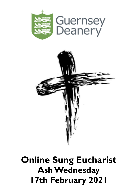



# **Online Sung Eucharist Ash Wednesday 17th February 2021**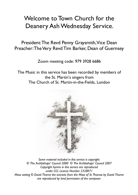# Welcome to Town Church for the Deanery Ash Wednesday Service.

President: The Revd Penny Graysmith, Vice Dean Preacher: The Very Revd Tim Barker, Dean of Guernsey

Zoom meeting code: 979 3928 6686

The Music in this service has been recorded by members of the St. Martin's singers from The Church of St. Martin-in-the-Fields, London



*Some material included in this service is copyright: © The Archbishops' Council 2000 © The Archbishops' Council 2007 Copyright hymns in this service are reproduced under CCL Licence Number 2328071 Mass setting © David Thorne the extracts from the Mass of St Thomas by David Thorne are reproduced by kind permission of the composer.*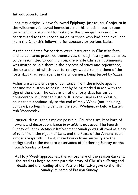#### **Introduction to Lent**

Lent may originally have followed Epiphany, just as Jesus' sojourn in the wilderness followed immediately on his baptism, but it soon became firmly attached to Easter, as the principal occasion for baptism and for the reconciliation of those who had been excluded from the Church's fellowship for apostasy or serious faults.

As the candidates for baptism were instructed in Christian faith, and as penitents prepared themselves, through fasting and penance, to be readmitted to communion, the whole Christian community was invited to join them in the process of study and repentance, the extension of which over forty days would remind them of the forty days that Jesus spent in the wilderness, being tested by Satan.

Ashes are an ancient sign of penitence; from the middle ages it became the custom to begin Lent by being marked in ash with the sign of the cross. The calculation of the forty days has varied considerably in Christian history. It is now usual in the West to count them continuously to the end of Holy Week (not including Sundays), so beginning Lent on the sixth Wednesday before Easter, Ash Wednesday.

Liturgical dress is the simplest possible. Churches are kept bare of flowers and decoration. *Gloria in excelsis* is not used. The Fourth Sunday of Lent (*Laetare*or Refreshment Sunday) was allowed as a day of relief from the rigour of Lent, and the Feast of the Annunciation almost always falls in Lent; these breaks from austerity are the background to the modern observance of Mothering Sunday on the Fourth Sunday of Lent.

As Holy Week approaches, the atmosphere of the season darkens; the readings begin to anticipate the story of Christ's suffering and death, and the reading of the Passion Narrative gave to the Fifth Sunday its name of Passion Sunday.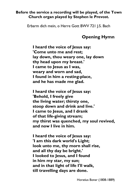#### **Before the service a recording will be played, of the Town Church organ played by Stephen le Prevost.**

Erbarm dich mein, o Herre Gott BWV 721 J.S. Bach

# **Opening Hymn**

**I heard the voice of Jesus say: 'Come unto me and rest; lay down, thou weary one, lay down thy head upon my breast.' I came to Jesus as I was, weary and worn and sad, I found in him a resting-place, and he has made me glad.**

**I heard the voice of Jesus say: 'Behold, I freely give the living water; thirsty one, stoop down and drink and live.' I came to Jesus, and I drank of that life-giving stream; my thirst was quenched, my soul revived, and now I live in him.**

**I heard the voice of Jesus say: 'I am this dark world's Light; look unto me, thy morn shall rise, and all thy day be bright.' I looked to Jesus, and I found in him my star, my sun; and in that light of life I'll walk, till travelling days are done.**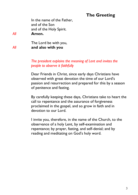# **The Greeting**

In the name of the Father, and of the Son and of the Holy Spirit. *All* **Amen.**

The Lord be with you, *All* **and also with you**

> *The president explains the meaning of Lent and invites the people to observe it faithfully*

Dear Friends in Christ, since early days Christians have observed with great devotion the time of our Lord's passion and resurrection and prepared for this by a season of penitence and fasting.

By carefully keeping these days, Christians take to heart the call to repentance and the assurance of forgiveness proclaimed in the gospel, and so grow in faith and in devotion to our Lord.

I invite you, therefore, in the name of the Church, to the observance of a holy Lent, by self-examination and repentance; by prayer, fasting, and self-denial; and by reading and meditating on God's holy word.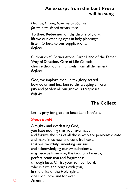## **An excerpt from the Lent Prose will be sung**

*Hear us, O Lord, have mercy upon us: for we have sinned against thee.*

To thee, Redeemer, on thy throne of glory: lift we our weeping eyes in holy pleadings: listen, O Jesu, to our supplications. *Refrain*

O thou chief Corner-stone, Right Hand of the Father Way of Salvation, Gate of Life Celestial cleanse thou our sinful souls from all defilement. *Refrain*

God, we implore thee, in thy glory seated bow down and hearken to thy weeping children pity and pardon all our grievous trespasses. *Refrain*

# **The Collect**

Let us pray for grace to keep Lent faithfully.

#### *Silence is kept*

Almighty and everlasting God, you hate nothing that you have made and forgive the sins of all those who are penitent: create and make in us new and contrite hearts that we, worthily lamenting our sins and acknowledging our wretchedness, may receive from you, the God of all mercy, perfect remission and forgiveness; through Jesus Christ your Son our Lord, who is alive and reigns with you, in the unity of the Holy Spirit, one God, now and for ever *All* **Amen.**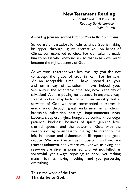#### **New Testament Reading**

2 Corinthians 5.20b – 6.10 *Read by Barrie Linnecor Vale Church*

#### *A Reading from the second letter of Paul to the Corinthians*

So we are ambassadors for Christ, since God is making his appeal through us; we entreat you on behalf of Christ, be reconciled to God. For our sake he made him to be sin who knew no sin, so that in him we might become the righteousness of God.

As we work together with him, we urge you also not to accept the grace of God in vain. For he says, 'At an acceptable time I have listened to you, and on a day of salvation I have helped you.' See, now is the acceptable time; see, now is the day of salvation! We are putting no obstacle in anyone's way, so that no fault may be found with our ministry, but as servants of God we have commended ourselves in every way: through great endurance, in afflictions, hardships, calamities, beatings, imprisonments, riots, labours, sleepless nights, hunger; by purity, knowledge, patience, kindness, holiness of spirit, genuine love, truthful speech, and the power of God; with the weapons of righteousness for the right hand and for the left; in honour and dishonour, in ill repute and good repute. We are treated as impostors, and yet are true; as unknown, and yet are well known; as dying, and see—we are alive; as punished, and yet not killed; as sorrowful, yet always rejoicing; as poor, yet making many rich; as having nothing, and yet possessing everything.

This is the word of the Lord. *All* **Thanks be to God.**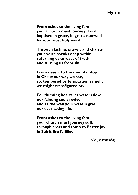#### **Hymn**

**From ashes to the living font your Church must journey, Lord, baptised in grace, in grace renewed by your most holy word.**

**Through fasting, prayer, and charity your voice speaks deep within, returning us to ways of truth and turning us from sin.**

**From desert to the mountaintop in Christ our way we see, so, tempered by temptation's might we might transfigured be.**

**For thirsting hearts let waters flow our fainting souls revive; and at the well your waters give our everlasting life.**

**From ashes to the living font your church must journey still: through cross and tomb to Easter joy, in Spirit-fire fulfilled.**

*Alan J Hommerding* 

 $\ddot{\phantom{0}}$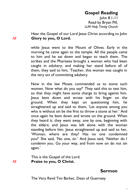## **Gospel Reading**

John 8.1-11 Read by Bryan Pill, *LLM Holy Trinity Church*

Hear the Gospel of our Lord Jesus Christ according to John *All* **Glory to you, O Lord.**

> while Jesus went to the Mount of Olives. Early in the morning he came again to the temple. All the people came to him and he sat down and began to teach them. The scribes and the Pharisees brought a woman who had been caught in adultery; and making her stand before all of them, they said to him, 'Teacher, this woman was caught in the very act of committing adultery.

> Now in the law Moses commanded us to stone such women. Now what do you say?' They said this to test him, so that they might have some charge to bring against him. Jesus bent down and wrote with his finger on the ground. When they kept on questioning him, he straightened up and said to them, 'Let anyone among you who is without sin be the first to throw a stone at her.' And once again he bent down and wrote on the ground. When they heard it, they went away, one by one, beginning with the elders; and Jesus was left alone with the woman standing before him. Jesus straightened up and said to her, 'Woman, where are they? Has no one condemned you?' She said, 'No one, sir.' And Jesus said, 'Neither do I condemn you. Go your way, and from now on do not sin again.'

This is the Gospel of the Lord. *All* **Praise to you, O Christ.**

**Sermon**

The Very Revd Tim Barker, Dean of Guernsey

 $\ensuremath{\mathnormal{}}$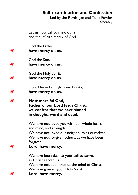#### **Self-examination and Confession**

Led by the Revds. Jan and Tony Fowler *Alderney*

Let us now call to mind our sin and the infinite mercy of God. God the Father, *All* **have mercy on us.**  God the Son, *All* **have mercy on us.**  God the Holy Spirit, *All* **have mercy on us.**  Holy, blessed and glorious Trinity, *All* **have mercy on us.**  *All* **Most merciful God, Father of our Lord Jesus Christ. we confess that we have sinned in thought, word and deed.**  We have not loved you with our whole heart, and mind, and strength. We have not loved our neighbours as ourselves. We have not forgiven others, as we have been forgiven. *All* **Lord, have mercy.**  We have been deaf to your call to serve, as Christ served us. We have not been true to the mind of Christ. We have grieved your Holy Spirit. *All* **Lord, have mercy.**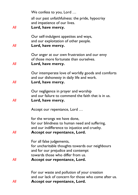|     | We confess to you, Lord                                                                                                                                  |
|-----|----------------------------------------------------------------------------------------------------------------------------------------------------------|
|     | all our past unfaithfulness: the pride, hypocrisy<br>and impatience of our lives.                                                                        |
| All | Lord, have mercy.                                                                                                                                        |
|     | Our self-indulgent appetites and ways,                                                                                                                   |
| All | and our exploitation of other people.<br>Lord, have mercy.                                                                                               |
| All | Our anger at our own frustration and our envy<br>of those more fortunate than ourselves.<br>Lord, have mercy.                                            |
|     | Our intemperate love of worldly goods and comforts<br>and our dishonesty in daily life and work.                                                         |
| All | Lord, have mercy.                                                                                                                                        |
| All | Our negligence in prayer and worship<br>and our failure to commend the faith that is in us.<br>Lord, have mercy.                                         |
|     |                                                                                                                                                          |
|     | Accept our repentance, Lord                                                                                                                              |
|     | for the wrongs we have done,<br>for our blindness to human need and suffering,<br>and our indifference to injustice and cruelty.                         |
| All | Accept our repentance, Lord.                                                                                                                             |
|     | For all false judgements,<br>for uncharitable thoughts towards our neighbours<br>and for our prejudice and contempt<br>towards those who differ from us. |
| All | Accept our repentance, Lord.                                                                                                                             |
|     |                                                                                                                                                          |
|     | For our waste and pollution of your creation<br>and our lack of concern for those who come after us.                                                     |
| All | Accept our repentance, Lord.                                                                                                                             |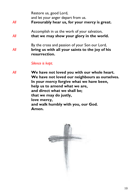| All | Restore us, good Lord,<br>and let your anger depart from us.<br>Favourably hear us, for your mercy is great.       |
|-----|--------------------------------------------------------------------------------------------------------------------|
| All | Accomplish in us the work of your salvation,<br>that we may show your glory in the world.                          |
| All | By the cross and passion of your Son our Lord,<br>bring us with all your saints to the joy of his<br>resurrection. |
|     | Silence is kept.                                                                                                   |

*All* **We have not loved you with our whole heart. We have not loved our neighbours as ourselves. In your mercy forgive what we have been, help us to amend what we are, and direct what we shall be; that we may do justly, love mercy, and walk humbly with you, our God. Amen.** 

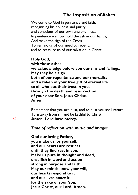#### **The Imposition of Ashes**

We come to God in penitence and faith, recognising his holiness and purity, and conscious of our own unworthiness. In penitence we now hold the ash in our hands, And make the sign of the Cross. To remind us of our need to repent, and to reassure us of our salvation in Christ.

**Holy God, with these ashes we acknowledge before you our sins and failings. May they be a sign both of our repentance and our mortality, and a token of your free gift of eternal life to all who put their trust in you, through the death and resurrection of your dear Son, Jesus Christ. Amen**

Remember that you are dust, and to dust you shall return. Turn away from sin and be faithful to Christ. *All* **Amen. Lord have mercy.**

#### *Time of reflection with music and images*

**God our loving Father, you make us for yourself, and our hearts are restless until they find rest in you. Make us pure in thought and deed, unselfish in word and action strong in purpose and faith. May our minds know your will, our hearts respond to it and our lives enact it, for the sake of your Son, Jesus Christ, our Lord. Amen.**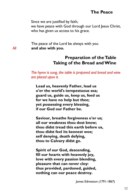#### **The Peace**

Since we are justified by faith,

we have peace with God through our Lord Jesus Christ, who has given us access to his grace.

The peace of the Lord be always with you *All* **and also with you.**

#### **Preparation of the Table Taking of the Bread and Wine**

*The hymn is sung, the table is prepared and bread and wine are placed upon it.*

**Lead us, heavenly Father, lead us o'er the world's tempestuous sea; guard us, guide us, keep us, feed us for we have no help but thee; yet possessing every blessing, if our God our Father be.**

**Saviour, breathe forgiveness o'er us; all our weakness thou dost know; thou didst tread this earth before us, thou didst feel its keenest woe; self denying, death defying, thou to Calvary didst go.**

**Spirit of our God, descending, fill our hearts with heavenly joy, love with every passion blending, pleasure that can never cloy: thus provided, pardoned, guided, nothing can our peace destroy.**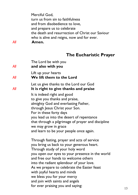Merciful God, turn us from sin to faithfulness and from disobedience to love, and prepare us to celebrate the death and resurrection of Christ our Saviour who is alive and reigns, now and for ever. *All* **Amen.**

#### **The Eucharistic Prayer**

| All | The Lord be with you<br>and also with you                                       |
|-----|---------------------------------------------------------------------------------|
| Αll | Lift up your hearts<br>We lift them to the Lord                                 |
| Αll | Let us give thanks to the Lord our God<br>It is right to give thanks and praise |
|     | It is indeed right and good                                                     |
|     | to give you thanks and praise,                                                  |
|     | almighty God and everlasting Father,                                            |
|     | through Jesus Christ your Son.                                                  |
|     | For in these forty days                                                         |
|     | you lead us into the desert of repentance                                       |
|     | that through a pilgrimage of prayer and discipline                              |
|     | we may grow in grace                                                            |
|     | and learn to be your people once again.                                         |
|     | Through fasting, prayer and acts of service                                     |
|     | you bring us back to your generous heart.                                       |
|     | Through study of your holy word                                                 |
|     | you open our eyes to your presence in the world                                 |
|     | and free our hands to welcome others                                            |
|     | into the radiant splendour of your love.                                        |
|     | As we prepare to celebrate the Easter feast                                     |
|     | with joyful hearts and minds                                                    |
|     | we bless you for your mercy                                                     |
|     | and join with saints and angels                                                 |
|     | for ever praising you and saying:                                               |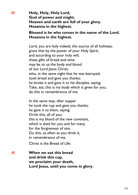*All* **Holy, Holy, Holy Lord, God of power and might. Heaven and earth are full of your glory. Hosanna in the highest.**

#### **Blessed is he who comes in the name of the Lord. Hosanna in the highest.**

Lord, you are holy indeed, the source of all holiness; grant that by the power of your Holy Spirit, and according to your holy will, these gifts of bread and wine may be to us the body and blood of our Lord Jesus Christ: who, in the same night that he was betrayed, took bread and gave you thanks; he broke it and gave it to his disciples, saying: Take, eat; this is my body which is given for you; do this in remembrance of me.

In the same way, after supper he took the cup and gave you thanks; he gave it to them, saying: Drink this, all of you; this is my blood of the new covenant, which is shed for you and for many for the forgiveness of sins. Do this, as often as you drink it, in remembrance of me.

Christ is the Bread of Life:

*All* **When we eat this bread and drink this cup, we proclaim your death, Lord Jesus, until you come in glory.**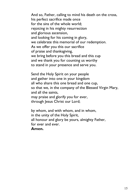And so, Father, calling to mind his death on the cross, his perfect sacrifice made once for the sins of the whole world; rejoicing in his mighty resurrection and glorious ascension, and looking for his coming in glory, we celebrate this memorial of our redemption. As we offer you this our sacrifice of praise and thanksgiving, we bring before you this bread and this cup and we thank you for counting us worthy to stand in your presence and serve you.

Send the Holy Spirit on your people and gather into one in your kingdom all who share this one bread and one cup, so that we, in the company of the Blessed Virgin Mary, and all the saints, may praise and glorify you for ever, through Jesus Christ our Lord;

by whom, and with whom, and in whom, in the unity of the Holy Spirit, all honour and glory be yours, almighty Father, for ever and ever.

**Amen.**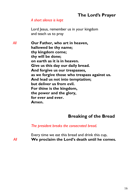# **The Lord's Prayer**

#### *A short silence is kept*

Lord Jesus, remember us in your kingdom and teach us to pray

*All* **Our Father, who art in heaven, hallowed be thy name; thy kingdom come; thy will be done; on earth as it is in heaven. Give us this day our daily bread. And forgive us our trespasses, as we forgive those who trespass against us. And lead us not into temptation; but deliver us from evil. For thine is the kingdom, the power and the glory, for ever and ever. Amen.**

#### **Breaking of the Bread**

*The president breaks the consecrated bread.*

Every time we eat this bread and drink this cup, *All* **We proclaim the Lord's death until he comes.**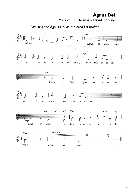#### **Agnus Dei** Mass of St. Thomas - David Thorne



 *We sing the Agnus Dei as the bread is broken.*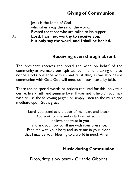# **Giving of Communion**

Jesus is the Lamb of God who takes away the sin of the world. Blessed are those who are called to his supper. *All* **Lord, I am not worthy to receive you, but only say the word, and I shall be healed.**

#### **Receiving even though absent**

The president receives the bread and wine on behalf of the community as we make our 'spiritual communion'; taking time to notice God's presence with us and trust that, as we also desire communion with God, God will meet us in our hearts by faith.

There are no special words or actions required for this; only true desire, lively faith and genuine love. If you find it helpful, you may wish to use the following prayer or simply listen to the music and meditate upon God's grace.

Lord, you stand at the door of my heart and knock. You wait for me and only I can let you in. I believe and trust in you and ask you now to fill me with your presence. Feed me with your body and unite me in your blood, that I may be your blessing to a world in need. Amen

#### **Music during Communion**

Drop, drop slow tears - Orlando Gibbons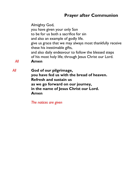# **Prayer after Communion**

Almighty God, you have given your only Son to be for us both a sacrifice for sin and also an example of godly life. give us grace that we may always most thankfully receive these his inestimable gifts, and also daily endeavour to follow the blessed steps of his most holy life; through Jesus Christ our Lord. *All* **Amen** *All* **God of our pilgrimage, you have fed us with the bread of heaven. Refresh and sustain us** 

**as we go forward on our journey, in the name of Jesus Christ our Lord. Amen** 

*The notices are given*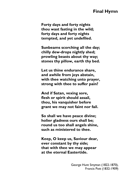#### **Final Hymn**

**Forty days and forty nights thou wast fasting in the wild; forty days and forty nights tempted, and yet undefiled.**

**Sunbeams scorching all the day; chilly dew-drops nightly shed; prowling beasts about thy way; stones thy pillow, earth thy bed.**

**Let us thine endurance share, and awhile from joys abstain, with thee watching unto prayer, strong with thee to suffer pain?**

**And if Satan, vexing sore, flesh or spirit should assail, thou, his vanquisher before grant we may not faint nor fail.**

**So shall we have peace divine; holier gladness ours shall be; round us too shall angels shine, such as ministered to thee.**

**Keep, O keep us, Saviour dear, ever constant by thy side; that with thee we may appear at the eternal Eastertide.**

> George Hunt Smyttan (1822-1870), Francis Pott (1832-1909)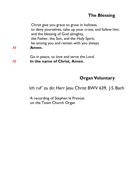## **The Blessing**

Christ give you grace to grow in holiness, to deny yourselves, take up your cross, and follow him; and the blessing of God almighty, the Father, the Son, and the Holy Spirit, be among you and remain with you always. *All* **Amen.**

Go in peace, to love and serve the Lord. *All* **In the name of Christ, Amen.** 

# **Organ Voluntary**

Ich ruf' zu dir, Herr Jesu Christ BWV 639, J.S. Bach

A recording of Stephen le Prevost on the Town Church Organ